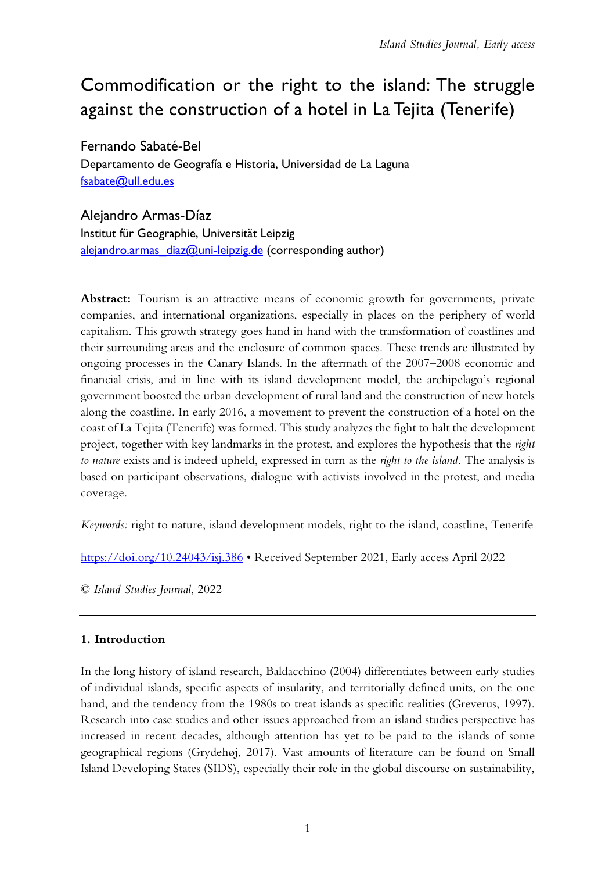# Commodification or the right to the island: The struggle against the construction of a hotel in La Tejita (Tenerife)

Fernando Sabaté-Bel Departamento de Geografía e Historia, Universidad de La Laguna [fsabate@ull.edu.es](mailto:fsabate@ull.edu.es)

## Alejandro Armas-Díaz

Institut für Geographie, Universität Leipzig alejandro.armas  $diag@uni-leipzig.de$  (corresponding author)

Abstract: Tourism is an attractive means of economic growth for governments, private companies, and international organizations, especially in places on the periphery of world capitalism. This growth strategy goes hand in hand with the transformation of coastlines and their surrounding areas and the enclosure of common spaces. These trends are illustrated by ongoing processes in the Canary Islands. In the aftermath of the 2007–2008 economic and financial crisis, and in line with its island development model, the archipelago's regional government boosted the urban development of rural land and the construction of new hotels along the coastline. In early 2016, a movement to prevent the construction of a hotel on the coast of La Tejita (Tenerife) was formed. This study analyzes the fight to halt the development project, together with key landmarks in the protest, and explores the hypothesis that the *right to nature* exists and is indeed upheld, expressed in turn as the *right to the island*. The analysis is based on participant observations, dialogue with activists involved in the protest, and media coverage.

*Keywords:* right to nature, island development models, right to the island, coastline, Tenerife

<https://doi.org/10.24043/isj.386> • Received September 2021, Early access April 2022

© *Island Studies Journal*, 2022

## **1. Introduction**

In the long history of island research, Baldacchino (2004) differentiates between early studies of individual islands, specific aspects of insularity, and territorially defined units, on the one hand, and the tendency from the 1980s to treat islands as specific realities (Greverus, 1997). Research into case studies and other issues approached from an island studies perspective has increased in recent decades, although attention has yet to be paid to the islands of some geographical regions (Grydehøj, 2017). Vast amounts of literature can be found on Small Island Developing States (SIDS), especially their role in the global discourse on sustainability,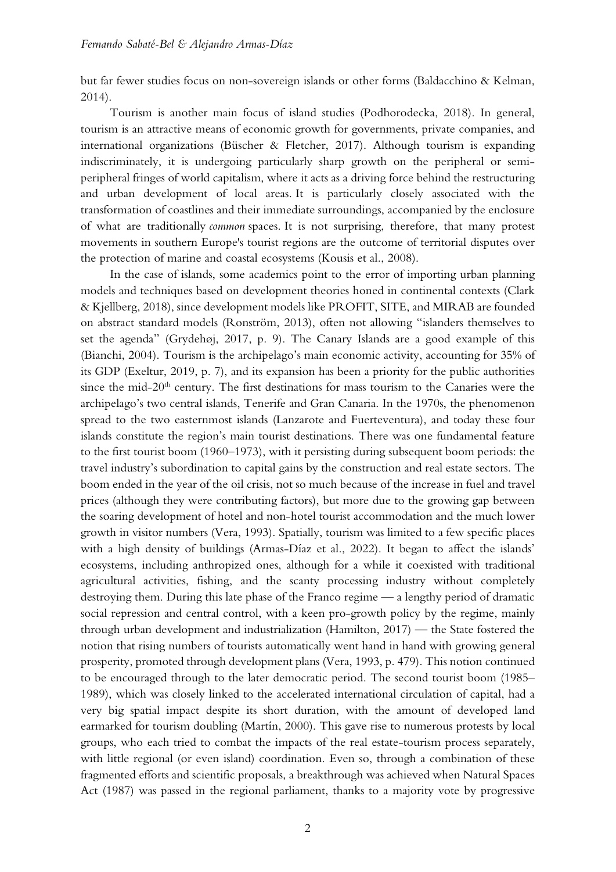but far fewer studies focus on non-sovereign islands or other forms (Baldacchino & Kelman, 2014).

Tourism is another main focus of island studies (Podhorodecka, 2018). In general, tourism is an attractive means of economic growth for governments, private companies, and international organizations (Büscher & Fletcher, 2017). Although tourism is expanding indiscriminately, it is undergoing particularly sharp growth on the peripheral or semiperipheral fringes of world capitalism, where it acts as a driving force behind the restructuring and urban development of local areas. It is particularly closely associated with the transformation of coastlines and their immediate surroundings, accompanied by the enclosure of what are traditionally *common* spaces. It is not surprising, therefore, that many protest movements in southern Europe's tourist regions are the outcome of territorial disputes over the protection of marine and coastal ecosystems (Kousis et al., 2008).

In the case of islands, some academics point to the error of importing urban planning models and techniques based on development theories honed in continental contexts (Clark & Kjellberg, 2018), since development models like PROFIT, SITE, and MIRAB are founded on abstract standard models (Ronström, 2013), often not allowing "islanders themselves to set the agenda" (Grydehøj, 2017, p. 9). The Canary Islands are a good example of this (Bianchi, 2004). Tourism is the archipelago's main economic activity, accounting for 35% of its GDP (Exeltur, 2019, p. 7), and its expansion has been a priority for the public authorities since the mid-20<sup>th</sup> century. The first destinations for mass tourism to the Canaries were the archipelago's two central islands, Tenerife and Gran Canaria. In the 1970s, the phenomenon spread to the two easternmost islands (Lanzarote and Fuerteventura), and today these four islands constitute the region's main tourist destinations. There was one fundamental feature to the first tourist boom (1960–1973), with it persisting during subsequent boom periods: the travel industry's subordination to capital gains by the construction and real estate sectors. The boom ended in the year of the oil crisis, not so much because of the increase in fuel and travel prices (although they were contributing factors), but more due to the growing gap between the soaring development of hotel and non-hotel tourist accommodation and the much lower growth in visitor numbers (Vera, 1993). Spatially, tourism was limited to a few specific places with a high density of buildings (Armas-Díaz et al., 2022). It began to affect the islands' ecosystems, including anthropized ones, although for a while it coexisted with traditional agricultural activities, fishing, and the scanty processing industry without completely destroying them. During this late phase of the Franco regime — a lengthy period of dramatic social repression and central control, with a keen pro-growth policy by the regime, mainly through urban development and industrialization (Hamilton, 2017) — the State fostered the notion that rising numbers of tourists automatically went hand in hand with growing general prosperity, promoted through development plans (Vera, 1993, p. 479). This notion continued to be encouraged through to the later democratic period. The second tourist boom (1985– 1989), which was closely linked to the accelerated international circulation of capital, had a very big spatial impact despite its short duration, with the amount of developed land earmarked for tourism doubling (Martín, 2000). This gave rise to numerous protests by local groups, who each tried to combat the impacts of the real estate-tourism process separately, with little regional (or even island) coordination. Even so, through a combination of these fragmented efforts and scientific proposals, a breakthrough was achieved when Natural Spaces Act (1987) was passed in the regional parliament, thanks to a majority vote by progressive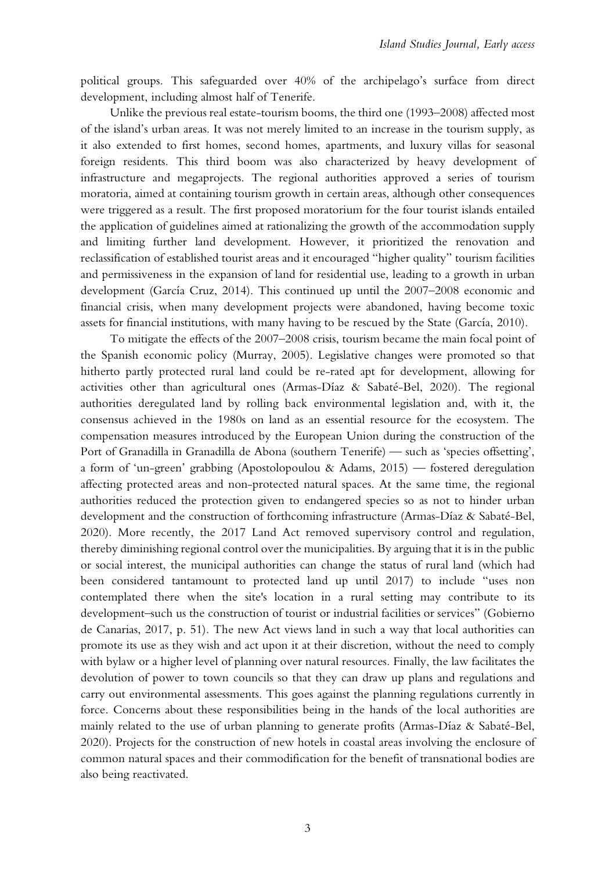political groups. This safeguarded over 40% of the archipelago's surface from direct development, including almost half of Tenerife.

Unlike the previous real estate-tourism booms, the third one (1993–2008) affected most of the island's urban areas. It was not merely limited to an increase in the tourism supply, as it also extended to first homes, second homes, apartments, and luxury villas for seasonal foreign residents. This third boom was also characterized by heavy development of infrastructure and megaprojects. The regional authorities approved a series of tourism moratoria, aimed at containing tourism growth in certain areas, although other consequences were triggered as a result. The first proposed moratorium for the four tourist islands entailed the application of guidelines aimed at rationalizing the growth of the accommodation supply and limiting further land development. However, it prioritized the renovation and reclassification of established tourist areas and it encouraged "higher quality" tourism facilities and permissiveness in the expansion of land for residential use, leading to a growth in urban development (García Cruz, 2014). This continued up until the 2007–2008 economic and financial crisis, when many development projects were abandoned, having become toxic assets for financial institutions, with many having to be rescued by the State (García, 2010).

To mitigate the effects of the 2007–2008 crisis, tourism became the main focal point of the Spanish economic policy (Murray, 2005). Legislative changes were promoted so that hitherto partly protected rural land could be re-rated apt for development, allowing for activities other than agricultural ones (Armas-Díaz & Sabaté-Bel, 2020). The regional authorities deregulated land by rolling back environmental legislation and, with it, the consensus achieved in the 1980s on land as an essential resource for the ecosystem. The compensation measures introduced by the European Union during the construction of the Port of Granadilla in Granadilla de Abona (southern Tenerife) — such as 'species offsetting', a form of 'un-green' grabbing (Apostolopoulou & Adams, 2015) — fostered deregulation affecting protected areas and non-protected natural spaces. At the same time, the regional authorities reduced the protection given to endangered species so as not to hinder urban development and the construction of forthcoming infrastructure (Armas-Díaz & Sabaté-Bel, 2020). More recently, the 2017 Land Act removed supervisory control and regulation, thereby diminishing regional control over the municipalities. By arguing that it is in the public or social interest, the municipal authorities can change the status of rural land (which had been considered tantamount to protected land up until 2017) to include "uses non contemplated there when the site's location in a rural setting may contribute to its development–such us the construction of tourist or industrial facilities or services" (Gobierno de Canarias, 2017, p. 51). The new Act views land in such a way that local authorities can promote its use as they wish and act upon it at their discretion, without the need to comply with bylaw or a higher level of planning over natural resources. Finally, the law facilitates the devolution of power to town councils so that they can draw up plans and regulations and carry out environmental assessments. This goes against the planning regulations currently in force. Concerns about these responsibilities being in the hands of the local authorities are mainly related to the use of urban planning to generate profits (Armas-Díaz & Sabaté-Bel, 2020). Projects for the construction of new hotels in coastal areas involving the enclosure of common natural spaces and their commodification for the benefit of transnational bodies are also being reactivated.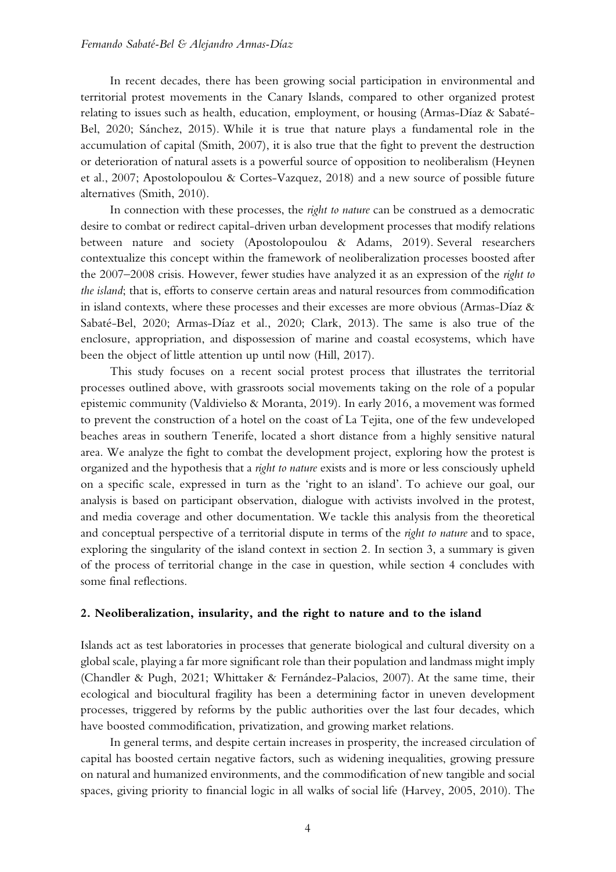In recent decades, there has been growing social participation in environmental and territorial protest movements in the Canary Islands, compared to other organized protest relating to issues such as health, education, employment, or housing (Armas-Díaz & Sabaté-Bel, 2020; Sánchez, 2015). While it is true that nature plays a fundamental role in the accumulation of capital (Smith, 2007), it is also true that the fight to prevent the destruction or deterioration of natural assets is a powerful source of opposition to neoliberalism (Heynen et al., 2007; Apostolopoulou & Cortes-Vazquez, 2018) and a new source of possible future alternatives (Smith, 2010).

In connection with these processes, the *right to nature* can be construed as a democratic desire to combat or redirect capital-driven urban development processes that modify relations between nature and society (Apostolopoulou & Adams, 2019). Several researchers contextualize this concept within the framework of neoliberalization processes boosted after the 2007–2008 crisis. However, fewer studies have analyzed it as an expression of the *right to the island*; that is, efforts to conserve certain areas and natural resources from commodification in island contexts, where these processes and their excesses are more obvious (Armas-Díaz & Sabaté-Bel, 2020; Armas-Díaz et al., 2020; Clark, 2013). The same is also true of the enclosure, appropriation, and dispossession of marine and coastal ecosystems, which have been the object of little attention up until now (Hill, 2017).

This study focuses on a recent social protest process that illustrates the territorial processes outlined above, with grassroots social movements taking on the role of a popular epistemic community (Valdivielso & Moranta, 2019). In early 2016, a movement was formed to prevent the construction of a hotel on the coast of La Tejita, one of the few undeveloped beaches areas in southern Tenerife, located a short distance from a highly sensitive natural area. We analyze the fight to combat the development project, exploring how the protest is organized and the hypothesis that a *right to nature* exists and is more or less consciously upheld on a specific scale, expressed in turn as the 'right to an island'. To achieve our goal, our analysis is based on participant observation, dialogue with activists involved in the protest, and media coverage and other documentation. We tackle this analysis from the theoretical and conceptual perspective of a territorial dispute in terms of the *right to nature* and to space, exploring the singularity of the island context in section 2*.* In section 3, a summary is given of the process of territorial change in the case in question, while section 4 concludes with some final reflections.

#### **2. Neoliberalization, insularity, and the right to nature and to the island**

Islands act as test laboratories in processes that generate biological and cultural diversity on a global scale, playing a far more significant role than their population and landmass might imply (Chandler & Pugh, 2021; Whittaker & Fernández-Palacios, 2007). At the same time, their ecological and biocultural fragility has been a determining factor in uneven development processes, triggered by reforms by the public authorities over the last four decades, which have boosted commodification, privatization, and growing market relations.

In general terms, and despite certain increases in prosperity, the increased circulation of capital has boosted certain negative factors, such as widening inequalities, growing pressure on natural and humanized environments, and the commodification of new tangible and social spaces, giving priority to financial logic in all walks of social life (Harvey, 2005, 2010). The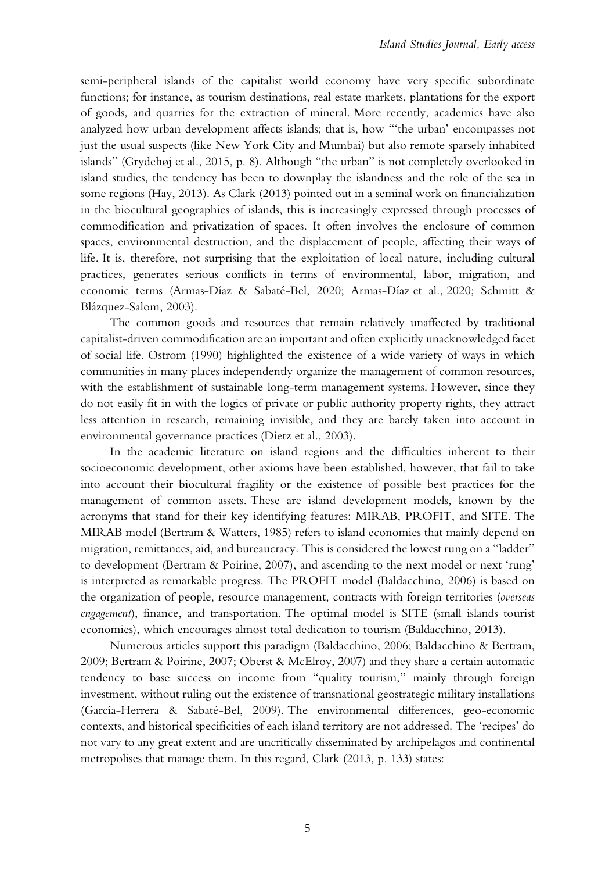semi-peripheral islands of the capitalist world economy have very specific subordinate functions; for instance, as tourism destinations, real estate markets, plantations for the export of goods, and quarries for the extraction of mineral. More recently, academics have also analyzed how urban development affects islands; that is, how "'the urban' encompasses not just the usual suspects (like New York City and Mumbai) but also remote sparsely inhabited islands" (Grydehøj et al., 2015, p. 8). Although "the urban" is not completely overlooked in island studies, the tendency has been to downplay the islandness and the role of the sea in some regions (Hay, 2013). As Clark (2013) pointed out in a seminal work on financialization in the biocultural geographies of islands, this is increasingly expressed through processes of commodification and privatization of spaces. It often involves the enclosure of common spaces, environmental destruction, and the displacement of people, affecting their ways of life. It is, therefore, not surprising that the exploitation of local nature, including cultural practices, generates serious conflicts in terms of environmental, labor, migration, and economic terms (Armas-Díaz & Sabaté-Bel, 2020; Armas-Díaz et al., 2020; Schmitt & Blázquez-Salom, 2003).

The common goods and resources that remain relatively unaffected by traditional capitalist-driven commodification are an important and often explicitly unacknowledged facet of social life. Ostrom (1990) highlighted the existence of a wide variety of ways in which communities in many places independently organize the management of common resources, with the establishment of sustainable long-term management systems. However, since they do not easily fit in with the logics of private or public authority property rights, they attract less attention in research, remaining invisible, and they are barely taken into account in environmental governance practices (Dietz et al., 2003).

In the academic literature on island regions and the difficulties inherent to their socioeconomic development, other axioms have been established, however, that fail to take into account their biocultural fragility or the existence of possible best practices for the management of common assets. These are island development models, known by the acronyms that stand for their key identifying features: MIRAB, PROFIT, and SITE. The MIRAB model (Bertram & Watters, 1985) refers to island economies that mainly depend on migration, remittances, aid, and bureaucracy. This is considered the lowest rung on a "ladder" to development (Bertram & Poirine, 2007), and ascending to the next model or next 'rung' is interpreted as remarkable progress. The PROFIT model (Baldacchino, 2006) is based on the organization of people, resource management, contracts with foreign territories (*overseas engagement*), finance, and transportation. The optimal model is SITE (small islands tourist economies), which encourages almost total dedication to tourism (Baldacchino, 2013).

Numerous articles support this paradigm (Baldacchino, 2006; Baldacchino & Bertram, 2009; Bertram & Poirine, 2007; Oberst & McElroy, 2007) and they share a certain automatic tendency to base success on income from "quality tourism," mainly through foreign investment, without ruling out the existence of transnational geostrategic military installations (García-Herrera & Sabaté-Bel, 2009). The environmental differences, geo-economic contexts, and historical specificities of each island territory are not addressed. The 'recipes' do not vary to any great extent and are uncritically disseminated by archipelagos and continental metropolises that manage them. In this regard, Clark (2013, p. 133) states: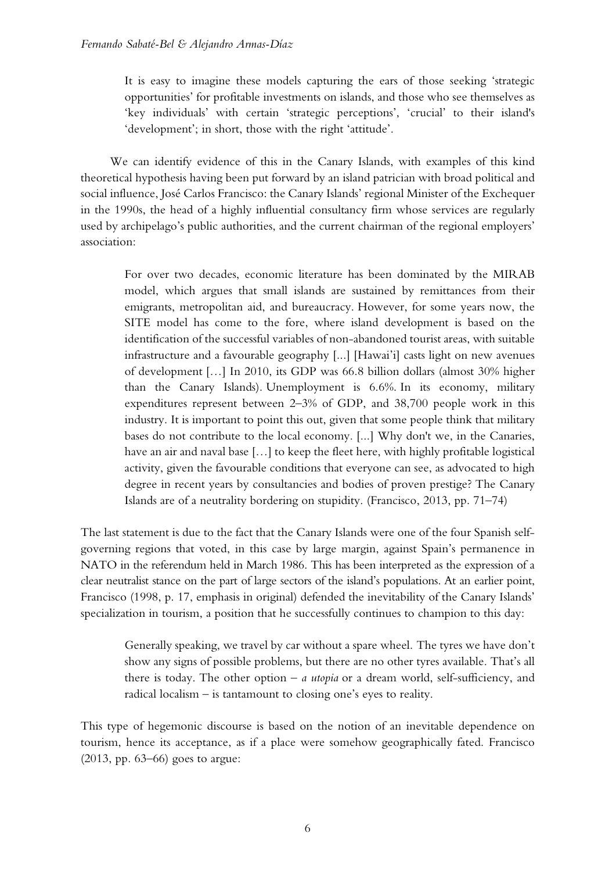It is easy to imagine these models capturing the ears of those seeking 'strategic opportunities' for profitable investments on islands, and those who see themselves as 'key individuals' with certain 'strategic perceptions', 'crucial' to their island's 'development'; in short, those with the right 'attitude'.

We can identify evidence of this in the Canary Islands, with examples of this kind theoretical hypothesis having been put forward by an island patrician with broad political and social influence, José Carlos Francisco: the Canary Islands' regional Minister of the Exchequer in the 1990s, the head of a highly influential consultancy firm whose services are regularly used by archipelago's public authorities, and the current chairman of the regional employers' association:

For over two decades, economic literature has been dominated by the MIRAB model, which argues that small islands are sustained by remittances from their emigrants, metropolitan aid, and bureaucracy. However, for some years now, the SITE model has come to the fore, where island development is based on the identification of the successful variables of non-abandoned tourist areas, with suitable infrastructure and a favourable geography [...] [Hawai'i] casts light on new avenues of development […] In 2010, its GDP was 66.8 billion dollars (almost 30% higher than the Canary Islands). Unemployment is 6.6%. In its economy, military expenditures represent between 2–3% of GDP, and 38,700 people work in this industry. It is important to point this out, given that some people think that military bases do not contribute to the local economy. [...] Why don't we, in the Canaries, have an air and naval base [...] to keep the fleet here, with highly profitable logistical activity, given the favourable conditions that everyone can see, as advocated to high degree in recent years by consultancies and bodies of proven prestige? The Canary Islands are of a neutrality bordering on stupidity. (Francisco, 2013, pp. 71–74)

The last statement is due to the fact that the Canary Islands were one of the four Spanish selfgoverning regions that voted, in this case by large margin, against Spain's permanence in NATO in the referendum held in March 1986. This has been interpreted as the expression of a clear neutralist stance on the part of large sectors of the island's populations. At an earlier point, Francisco (1998, p. 17, emphasis in original) defended the inevitability of the Canary Islands' specialization in tourism, a position that he successfully continues to champion to this day:

Generally speaking, we travel by car without a spare wheel. The tyres we have don't show any signs of possible problems, but there are no other tyres available. That's all there is today. The other option – *a utopia* or a dream world, self-sufficiency, and radical localism – is tantamount to closing one's eyes to reality.

This type of hegemonic discourse is based on the notion of an inevitable dependence on tourism, hence its acceptance, as if a place were somehow geographically fated. Francisco (2013, pp. 63–66) goes to argue: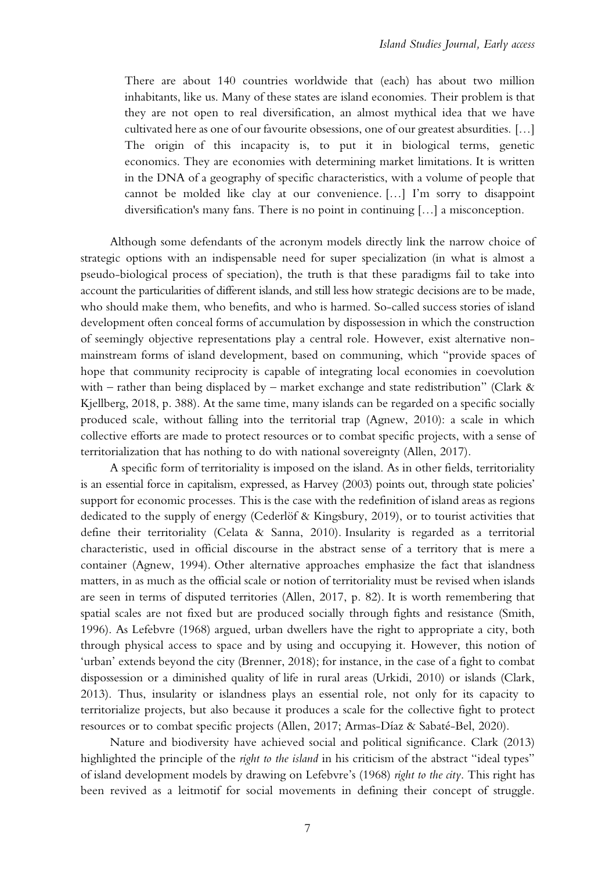There are about 140 countries worldwide that (each) has about two million inhabitants, like us. Many of these states are island economies. Their problem is that they are not open to real diversification, an almost mythical idea that we have cultivated here as one of our favourite obsessions, one of our greatest absurdities. […] The origin of this incapacity is, to put it in biological terms, genetic economics. They are economies with determining market limitations. It is written in the DNA of a geography of specific characteristics, with a volume of people that cannot be molded like clay at our convenience. […] I'm sorry to disappoint diversification's many fans. There is no point in continuing […] a misconception.

Although some defendants of the acronym models directly link the narrow choice of strategic options with an indispensable need for super specialization (in what is almost a pseudo-biological process of speciation), the truth is that these paradigms fail to take into account the particularities of different islands, and still less how strategic decisions are to be made, who should make them, who benefits, and who is harmed. So-called success stories of island development often conceal forms of accumulation by dispossession in which the construction of seemingly objective representations play a central role. However, exist alternative nonmainstream forms of island development, based on communing, which "provide spaces of hope that community reciprocity is capable of integrating local economies in coevolution with – rather than being displaced by – market exchange and state redistribution" (Clark  $\&$ Kjellberg, 2018, p. 388). At the same time, many islands can be regarded on a specific socially produced scale, without falling into the territorial trap (Agnew, 2010): a scale in which collective efforts are made to protect resources or to combat specific projects, with a sense of territorialization that has nothing to do with national sovereignty (Allen, 2017).

A specific form of territoriality is imposed on the island. As in other fields, territoriality is an essential force in capitalism, expressed, as Harvey (2003) points out, through state policies' support for economic processes. This is the case with the redefinition of island areas as regions dedicated to the supply of energy (Cederlöf & Kingsbury, 2019), or to tourist activities that define their territoriality (Celata & Sanna, 2010). Insularity is regarded as a territorial characteristic, used in official discourse in the abstract sense of a territory that is mere a container (Agnew, 1994). Other alternative approaches emphasize the fact that islandness matters, in as much as the official scale or notion of territoriality must be revised when islands are seen in terms of disputed territories (Allen, 2017, p. 82). It is worth remembering that spatial scales are not fixed but are produced socially through fights and resistance (Smith, 1996). As Lefebvre (1968) argued, urban dwellers have the right to appropriate a city, both through physical access to space and by using and occupying it. However, this notion of 'urban' extends beyond the city (Brenner, 2018); for instance, in the case of a fight to combat dispossession or a diminished quality of life in rural areas (Urkidi, 2010) or islands (Clark, 2013). Thus, insularity or islandness plays an essential role, not only for its capacity to territorialize projects, but also because it produces a scale for the collective fight to protect resources or to combat specific projects (Allen, 2017; Armas-Díaz & Sabaté-Bel, 2020).

Nature and biodiversity have achieved social and political significance. Clark (2013) highlighted the principle of the *right to the island* in his criticism of the abstract "ideal types" of island development models by drawing on Lefebvre's (1968) *right to the city*. This right has been revived as a leitmotif for social movements in defining their concept of struggle.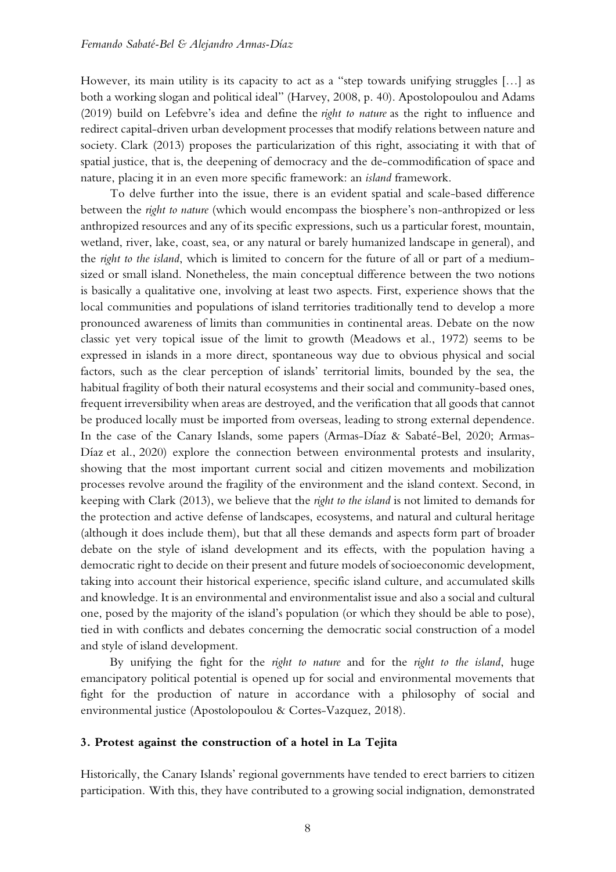However, its main utility is its capacity to act as a "step towards unifying struggles […] as both a working slogan and political ideal" (Harvey, 2008, p. 40). Apostolopoulou and Adams (2019) build on Lefebvre's idea and define the *right to nature* as the right to influence and redirect capital-driven urban development processes that modify relations between nature and society. Clark (2013) proposes the particularization of this right, associating it with that of spatial justice, that is, the deepening of democracy and the de-commodification of space and nature, placing it in an even more specific framework: an *island* framework.

To delve further into the issue, there is an evident spatial and scale-based difference between the *right to nature* (which would encompass the biosphere's non-anthropized or less anthropized resources and any of its specific expressions, such us a particular forest, mountain, wetland, river, lake, coast, sea, or any natural or barely humanized landscape in general), and the *right to the island*, which is limited to concern for the future of all or part of a mediumsized or small island. Nonetheless, the main conceptual difference between the two notions is basically a qualitative one, involving at least two aspects. First, experience shows that the local communities and populations of island territories traditionally tend to develop a more pronounced awareness of limits than communities in continental areas. Debate on the now classic yet very topical issue of the limit to growth (Meadows et al., 1972) seems to be expressed in islands in a more direct, spontaneous way due to obvious physical and social factors, such as the clear perception of islands' territorial limits, bounded by the sea, the habitual fragility of both their natural ecosystems and their social and community-based ones, frequent irreversibility when areas are destroyed, and the verification that all goods that cannot be produced locally must be imported from overseas, leading to strong external dependence. In the case of the Canary Islands, some papers (Armas-Díaz & Sabaté-Bel, 2020; Armas-Díaz et al., 2020) explore the connection between environmental protests and insularity, showing that the most important current social and citizen movements and mobilization processes revolve around the fragility of the environment and the island context. Second, in keeping with Clark (2013), we believe that the *right to the island* is not limited to demands for the protection and active defense of landscapes, ecosystems, and natural and cultural heritage (although it does include them), but that all these demands and aspects form part of broader debate on the style of island development and its effects, with the population having a democratic right to decide on their present and future models of socioeconomic development, taking into account their historical experience, specific island culture, and accumulated skills and knowledge. It is an environmental and environmentalist issue and also a social and cultural one, posed by the majority of the island's population (or which they should be able to pose), tied in with conflicts and debates concerning the democratic social construction of a model and style of island development.

By unifying the fight for the *right to nature* and for the *right to the island*, huge emancipatory political potential is opened up for social and environmental movements that fight for the production of nature in accordance with a philosophy of social and environmental justice (Apostolopoulou & Cortes-Vazquez, 2018).

#### **3. Protest against the construction of a hotel in La Tejita**

Historically, the Canary Islands' regional governments have tended to erect barriers to citizen participation. With this, they have contributed to a growing social indignation, demonstrated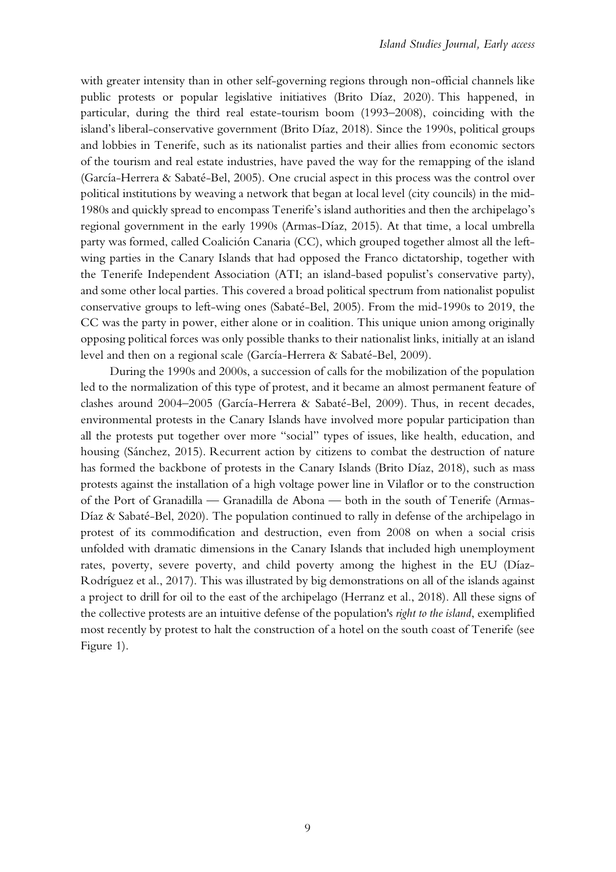with greater intensity than in other self-governing regions through non-official channels like public protests or popular legislative initiatives (Brito Díaz, 2020). This happened, in particular, during the third real estate-tourism boom (1993–2008), coinciding with the island's liberal-conservative government (Brito Díaz, 2018). Since the 1990s, political groups and lobbies in Tenerife, such as its nationalist parties and their allies from economic sectors of the tourism and real estate industries, have paved the way for the remapping of the island (García-Herrera & Sabaté-Bel, 2005). One crucial aspect in this process was the control over political institutions by weaving a network that began at local level (city councils) in the mid-1980s and quickly spread to encompass Tenerife's island authorities and then the archipelago's regional government in the early 1990s (Armas-Díaz, 2015). At that time, a local umbrella party was formed, called Coalición Canaria (CC), which grouped together almost all the leftwing parties in the Canary Islands that had opposed the Franco dictatorship, together with the Tenerife Independent Association (ATI; an island-based populist's conservative party), and some other local parties. This covered a broad political spectrum from nationalist populist conservative groups to left-wing ones (Sabaté-Bel, 2005). From the mid-1990s to 2019, the CC was the party in power, either alone or in coalition. This unique union among originally opposing political forces was only possible thanks to their nationalist links, initially at an island level and then on a regional scale (García-Herrera & Sabaté-Bel, 2009).

During the 1990s and 2000s, a succession of calls for the mobilization of the population led to the normalization of this type of protest, and it became an almost permanent feature of clashes around 2004–2005 (García-Herrera & Sabaté-Bel, 2009). Thus, in recent decades, environmental protests in the Canary Islands have involved more popular participation than all the protests put together over more "social" types of issues, like health, education, and housing (Sánchez, 2015). Recurrent action by citizens to combat the destruction of nature has formed the backbone of protests in the Canary Islands (Brito Díaz, 2018), such as mass protests against the installation of a high voltage power line in Vilaflor or to the construction of the Port of Granadilla — Granadilla de Abona — both in the south of Tenerife (Armas-Díaz & Sabaté-Bel, 2020). The population continued to rally in defense of the archipelago in protest of its commodification and destruction, even from 2008 on when a social crisis unfolded with dramatic dimensions in the Canary Islands that included high unemployment rates, poverty, severe poverty, and child poverty among the highest in the EU (Díaz-Rodríguez et al., 2017). This was illustrated by big demonstrations on all of the islands against a project to drill for oil to the east of the archipelago (Herranz et al., 2018). All these signs of the collective protests are an intuitive defense of the population's *right to the island*, exemplified most recently by protest to halt the construction of a hotel on the south coast of Tenerife (see Figure 1).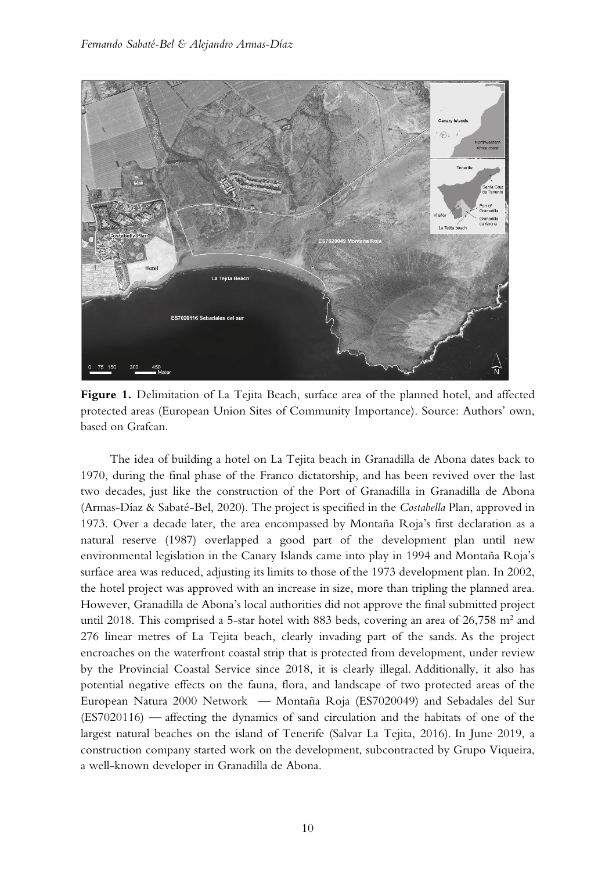

**Figure 1.** Delimitation of La Tejita Beach, surface area of the planned hotel, and affected protected areas (European Union Sites of Community Importance). Source: Authors' own, based on Grafcan.

The idea of building a hotel on La Tejita beach in Granadilla de Abona dates back to 1970, during the final phase of the Franco dictatorship, and has been revived over the last two decades, just like the construction of the Port of Granadilla in Granadilla de Abona (Armas-Díaz & Sabaté-Bel, 2020). The project is specified in the *Costabella* Plan, approved in 1973. Over a decade later, the area encompassed by Montaña Roja's first declaration as a natural reserve (1987) overlapped a good part of the development plan until new environmental legislation in the Canary Islands came into play in 1994 and Montaña Roja's surface area was reduced, adjusting its limits to those of the 1973 development plan. In 2002, the hotel project was approved with an increase in size, more than tripling the planned area. However, Granadilla de Abona's local authorities did not approve the final submitted project until 2018. This comprised a 5-star hotel with 883 beds, covering an area of  $26,758$  m<sup>2</sup> and 276 linear metres of La Tejita beach, clearly invading part of the sands. As the project encroaches on the waterfront coastal strip that is protected from development, under review by the Provincial Coastal Service since 2018, it is clearly illegal. Additionally, it also has potential negative effects on the fauna, flora, and landscape of two protected areas of the European Natura 2000 Network — Montaña Roja (ES7020049) and Sebadales del Sur (ES7020116) — affecting the dynamics of sand circulation and the habitats of one of the largest natural beaches on the island of Tenerife (Salvar La Tejita, 2016). In June 2019, a construction company started work on the development, subcontracted by Grupo Viqueira, a well-known developer in Granadilla de Abona.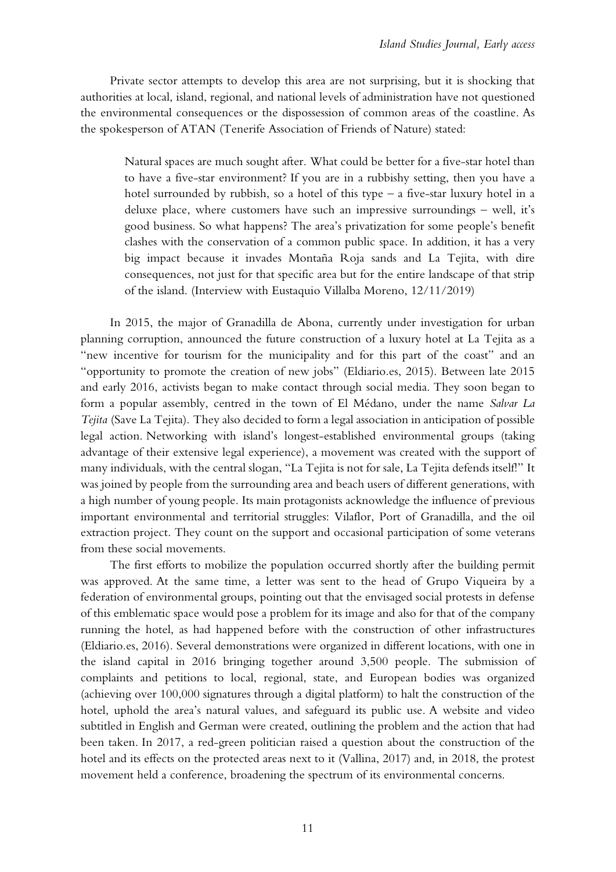Private sector attempts to develop this area are not surprising, but it is shocking that authorities at local, island, regional, and national levels of administration have not questioned the environmental consequences or the dispossession of common areas of the coastline. As the spokesperson of ATAN (Tenerife Association of Friends of Nature) stated:

Natural spaces are much sought after. What could be better for a five-star hotel than to have a five-star environment? If you are in a rubbishy setting, then you have a hotel surrounded by rubbish, so a hotel of this type  $-$  a five-star luxury hotel in a deluxe place, where customers have such an impressive surroundings – well, it's good business. So what happens? The area's privatization for some people's benefit clashes with the conservation of a common public space. In addition, it has a very big impact because it invades Montaña Roja sands and La Tejita, with dire consequences, not just for that specific area but for the entire landscape of that strip of the island. (Interview with Eustaquio Villalba Moreno, 12/11/2019)

In 2015, the major of Granadilla de Abona, currently under investigation for urban planning corruption, announced the future construction of a luxury hotel at La Tejita as a "new incentive for tourism for the municipality and for this part of the coast" and an "opportunity to promote the creation of new jobs" (Eldiario.es, 2015). Between late 2015 and early 2016, activists began to make contact through social media. They soon began to form a popular assembly, centred in the town of El Médano, under the name *Salvar La Tejita* (Save La Tejita). They also decided to form a legal association in anticipation of possible legal action. Networking with island's longest-established environmental groups (taking advantage of their extensive legal experience), a movement was created with the support of many individuals, with the central slogan, "La Tejita is not for sale, La Tejita defends itself!" It was joined by people from the surrounding area and beach users of different generations, with a high number of young people. Its main protagonists acknowledge the influence of previous important environmental and territorial struggles: Vilaflor, Port of Granadilla, and the oil extraction project. They count on the support and occasional participation of some veterans from these social movements.

The first efforts to mobilize the population occurred shortly after the building permit was approved. At the same time, a letter was sent to the head of Grupo Viqueira by a federation of environmental groups, pointing out that the envisaged social protests in defense of this emblematic space would pose a problem for its image and also for that of the company running the hotel, as had happened before with the construction of other infrastructures (Eldiario.es, 2016). Several demonstrations were organized in different locations, with one in the island capital in 2016 bringing together around 3,500 people. The submission of complaints and petitions to local, regional, state, and European bodies was organized (achieving over 100,000 signatures through a digital platform) to halt the construction of the hotel, uphold the area's natural values, and safeguard its public use. A website and video subtitled in English and German were created, outlining the problem and the action that had been taken. In 2017, a red-green politician raised a question about the construction of the hotel and its effects on the protected areas next to it (Vallina, 2017) and, in 2018, the protest movement held a conference, broadening the spectrum of its environmental concerns.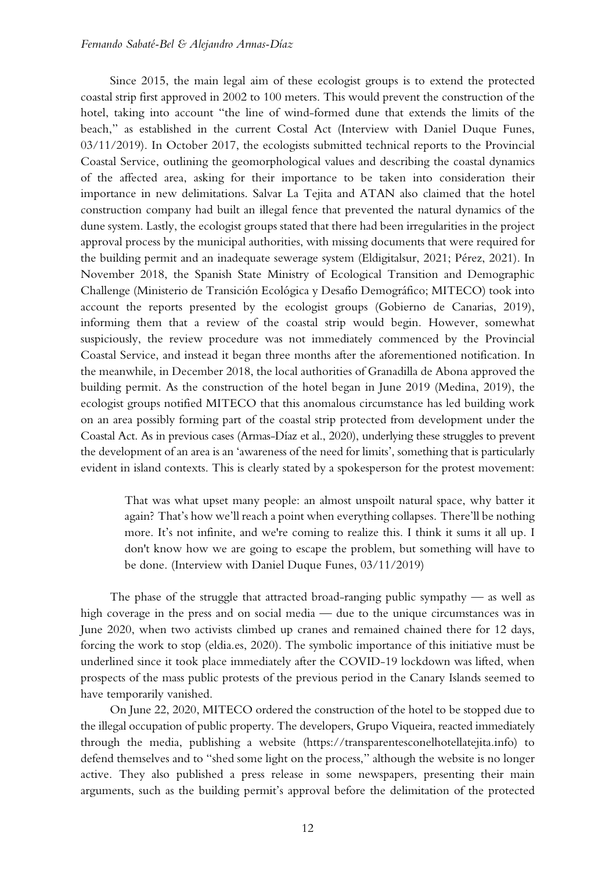Since 2015, the main legal aim of these ecologist groups is to extend the protected coastal strip first approved in 2002 to 100 meters. This would prevent the construction of the hotel, taking into account "the line of wind-formed dune that extends the limits of the beach," as established in the current Costal Act (Interview with Daniel Duque Funes, 03/11/2019). In October 2017, the ecologists submitted technical reports to the Provincial Coastal Service, outlining the geomorphological values and describing the coastal dynamics of the affected area, asking for their importance to be taken into consideration their importance in new delimitations. Salvar La Tejita and ATAN also claimed that the hotel construction company had built an illegal fence that prevented the natural dynamics of the dune system. Lastly, the ecologist groups stated that there had been irregularities in the project approval process by the municipal authorities, with missing documents that were required for the building permit and an inadequate sewerage system (Eldigitalsur, 2021; Pérez, 2021). In November 2018, the Spanish State Ministry of Ecological Transition and Demographic Challenge (Ministerio de Transición Ecológica y Desafío Demográfico; MITECO) took into account the reports presented by the ecologist groups (Gobierno de Canarias, 2019), informing them that a review of the coastal strip would begin. However, somewhat suspiciously, the review procedure was not immediately commenced by the Provincial Coastal Service, and instead it began three months after the aforementioned notification. In the meanwhile, in December 2018, the local authorities of Granadilla de Abona approved the building permit. As the construction of the hotel began in June 2019 (Medina, 2019), the ecologist groups notified MITECO that this anomalous circumstance has led building work on an area possibly forming part of the coastal strip protected from development under the Coastal Act. As in previous cases (Armas-Díaz et al., 2020), underlying these struggles to prevent the development of an area is an 'awareness of the need for limits', something that is particularly evident in island contexts. This is clearly stated by a spokesperson for the protest movement:

That was what upset many people: an almost unspoilt natural space, why batter it again? That's how we'll reach a point when everything collapses. There'll be nothing more. It's not infinite, and we're coming to realize this. I think it sums it all up. I don't know how we are going to escape the problem, but something will have to be done. (Interview with Daniel Duque Funes, 03/11/2019)

The phase of the struggle that attracted broad-ranging public sympathy  $-$  as well as high coverage in the press and on social media — due to the unique circumstances was in June 2020, when two activists climbed up cranes and remained chained there for 12 days, forcing the work to stop (eldia.es, 2020). The symbolic importance of this initiative must be underlined since it took place immediately after the COVID-19 lockdown was lifted, when prospects of the mass public protests of the previous period in the Canary Islands seemed to have temporarily vanished.

On June 22, 2020, MITECO ordered the construction of the hotel to be stopped due to the illegal occupation of public property. The developers, Grupo Viqueira, reacted immediately through the media, publishing a website (https://transparentesconelhotellatejita.info) to defend themselves and to "shed some light on the process," although the website is no longer active. They also published a press release in some newspapers, presenting their main arguments, such as the building permit's approval before the delimitation of the protected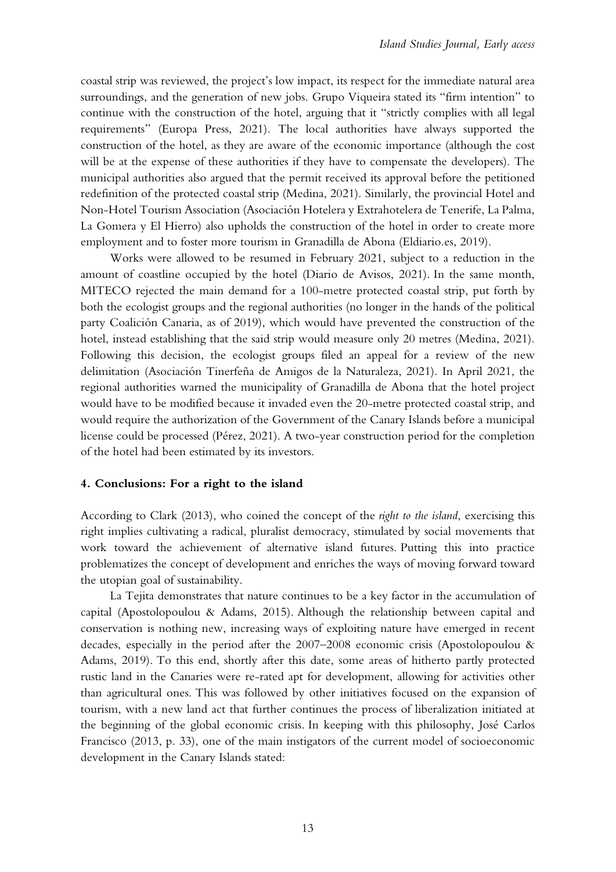coastal strip was reviewed, the project's low impact, its respect for the immediate natural area surroundings, and the generation of new jobs. Grupo Viqueira stated its "firm intention" to continue with the construction of the hotel, arguing that it "strictly complies with all legal requirements" (Europa Press, 2021). The local authorities have always supported the construction of the hotel, as they are aware of the economic importance (although the cost will be at the expense of these authorities if they have to compensate the developers). The municipal authorities also argued that the permit received its approval before the petitioned redefinition of the protected coastal strip (Medina, 2021). Similarly, the provincial Hotel and Non-Hotel Tourism Association (Asociación Hotelera y Extrahotelera de Tenerife, La Palma, La Gomera y El Hierro) also upholds the construction of the hotel in order to create more employment and to foster more tourism in Granadilla de Abona (Eldiario.es, 2019).

Works were allowed to be resumed in February 2021, subject to a reduction in the amount of coastline occupied by the hotel (Diario de Avisos, 2021). In the same month, MITECO rejected the main demand for a 100-metre protected coastal strip, put forth by both the ecologist groups and the regional authorities (no longer in the hands of the political party Coalición Canaria, as of 2019), which would have prevented the construction of the hotel, instead establishing that the said strip would measure only 20 metres (Medina, 2021). Following this decision, the ecologist groups filed an appeal for a review of the new delimitation (Asociación Tinerfeña de Amigos de la Naturaleza, 2021). In April 2021, the regional authorities warned the municipality of Granadilla de Abona that the hotel project would have to be modified because it invaded even the 20-metre protected coastal strip, and would require the authorization of the Government of the Canary Islands before a municipal license could be processed (Pérez, 2021). A two-year construction period for the completion of the hotel had been estimated by its investors.

#### **4. Conclusions: For a right to the island**

According to Clark (2013), who coined the concept of the *right to the island*, exercising this right implies cultivating a radical, pluralist democracy, stimulated by social movements that work toward the achievement of alternative island futures. Putting this into practice problematizes the concept of development and enriches the ways of moving forward toward the utopian goal of sustainability.

La Tejita demonstrates that nature continues to be a key factor in the accumulation of capital (Apostolopoulou & Adams, 2015). Although the relationship between capital and conservation is nothing new, increasing ways of exploiting nature have emerged in recent decades, especially in the period after the 2007–2008 economic crisis (Apostolopoulou & Adams, 2019). To this end, shortly after this date, some areas of hitherto partly protected rustic land in the Canaries were re-rated apt for development, allowing for activities other than agricultural ones. This was followed by other initiatives focused on the expansion of tourism, with a new land act that further continues the process of liberalization initiated at the beginning of the global economic crisis. In keeping with this philosophy, José Carlos Francisco (2013, p. 33), one of the main instigators of the current model of socioeconomic development in the Canary Islands stated: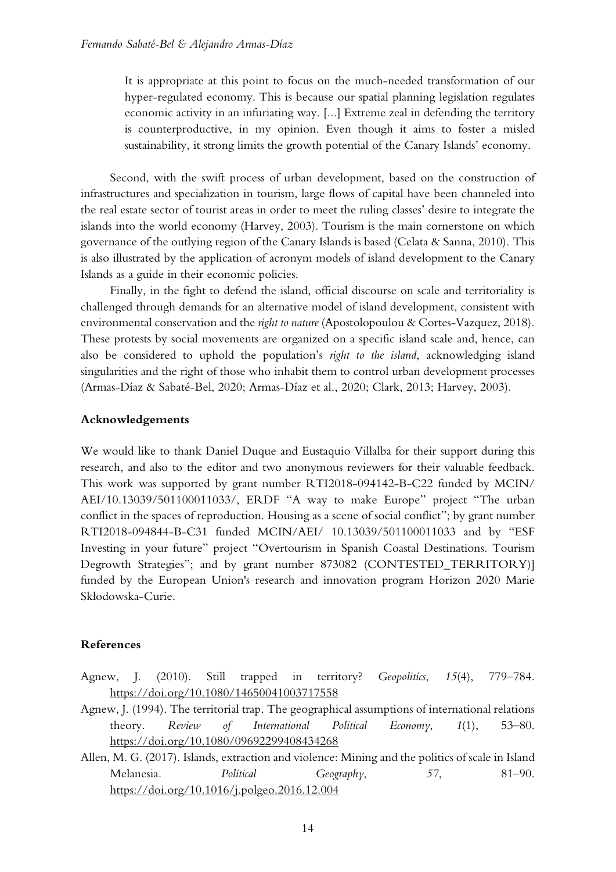It is appropriate at this point to focus on the much-needed transformation of our hyper-regulated economy. This is because our spatial planning legislation regulates economic activity in an infuriating way. [...] Extreme zeal in defending the territory is counterproductive, in my opinion. Even though it aims to foster a misled sustainability, it strong limits the growth potential of the Canary Islands' economy.

Second, with the swift process of urban development, based on the construction of infrastructures and specialization in tourism, large flows of capital have been channeled into the real estate sector of tourist areas in order to meet the ruling classes' desire to integrate the islands into the world economy (Harvey, 2003). Tourism is the main cornerstone on which governance of the outlying region of the Canary Islands is based (Celata & Sanna, 2010). This is also illustrated by the application of acronym models of island development to the Canary Islands as a guide in their economic policies.

Finally, in the fight to defend the island, official discourse on scale and territoriality is challenged through demands for an alternative model of island development, consistent with environmental conservation and the *right to nature* (Apostolopoulou & Cortes-Vazquez, 2018). These protests by social movements are organized on a specific island scale and, hence, can also be considered to uphold the population's *right to the island*, acknowledging island singularities and the right of those who inhabit them to control urban development processes (Armas-Díaz & Sabaté-Bel, 2020; Armas-Díaz et al., 2020; Clark, 2013; Harvey, 2003).

### **Acknowledgements**

We would like to thank Daniel Duque and Eustaquio Villalba for their support during this research, and also to the editor and two anonymous reviewers for their valuable feedback. This work was supported by grant number RTI2018-094142-B-C22 funded by MCIN/ AEI/10.13039/501100011033/, ERDF "A way to make Europe" project "The urban conflict in the spaces of reproduction. Housing as a scene of social conflict"; by grant number RTI2018-094844-B-C31 funded MCIN/AEI/ 10.13039/501100011033 and by "ESF Investing in your future" project "Overtourism in Spanish Coastal Destinations. Tourism Degrowth Strategies"; and by grant number 873082 (CONTESTED\_TERRITORY)] funded by the European Union's research and innovation program Horizon 2020 Marie Skłodowska-Curie.

## **References**

- Agnew, J. (2010). Still trapped in territory? *Geopolitics*, *15*(4), 779–784. <https://doi.org/10.1080/14650041003717558>
- Agnew, J. (1994). The territorial trap. The geographical assumptions of international relations theory. *Review of International Political Economy*, *1*(1), 53–80. <https://doi.org/10.1080/09692299408434268>
- Allen, M. G. (2017). Islands, extraction and violence: Mining and the politics of scale in Island Melanesia. *Political Geography*, *57*, 81–90. <https://doi.org/10.1016/j.polgeo.2016.12.004>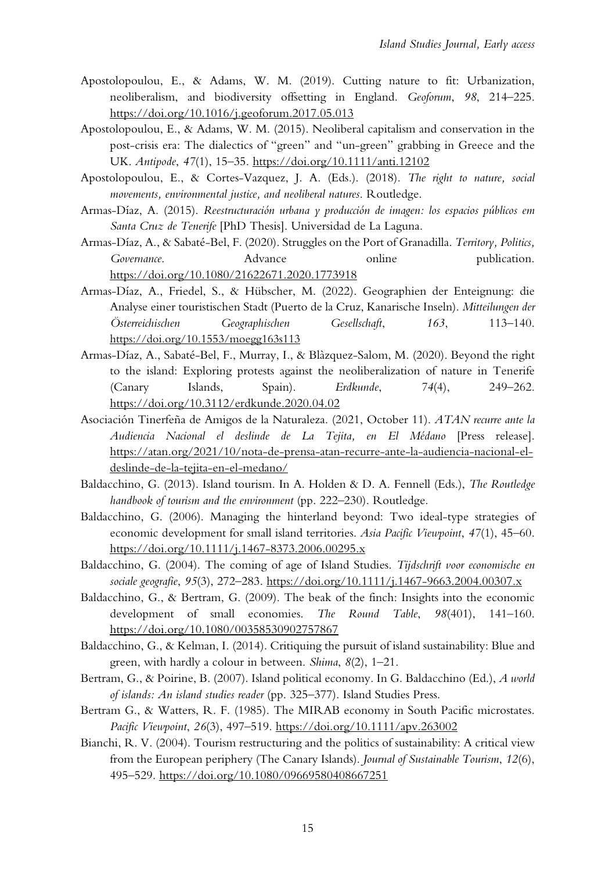- Apostolopoulou, E., & Adams, W. M. (2019). Cutting nature to fit: Urbanization, neoliberalism, and biodiversity offsetting in England. *Geoforum*, *98*, 214–225. <https://doi.org/10.1016/j.geoforum.2017.05.013>
- Apostolopoulou, E., & Adams, W. M. (2015). Neoliberal capitalism and conservation in the post-crisis era: The dialectics of "green" and "un-green" grabbing in Greece and the UK. *Antipode*, *47*(1), 15–35.<https://doi.org/10.1111/anti.12102>
- Apostolopoulou, E., & Cortes-Vazquez, J. A. (Eds.). (2018). *The right to nature, social movements, environmental justice, and neoliberal natures*. Routledge.
- Armas-Díaz, A. (2015). *Reestructuración urbana y producción de imagen: los espacios públicos em Santa Cruz de Tenerife* [PhD Thesis]. Universidad de La Laguna.
- Armas-Díaz, A., & Sabaté-Bel, F. (2020). Struggles on the Port of Granadilla. *Territory, Politics, Governance*. Advance online publication. <https://doi.org/10.1080/21622671.2020.1773918>
- Armas-Díaz, A., Friedel, S., & Hübscher, M. (2022). Geographien der Enteignung: die Analyse einer touristischen Stadt (Puerto de la Cruz, Kanarische Inseln). *Mitteilungen der Österreichischen Geographischen Gesellschaft*, *163*, 113–140. <https://doi.org/10.1553/moegg163s113>
- Armas-Díaz, A., Sabaté-Bel, F., Murray, I., & Blàzquez-Salom, M. (2020). Beyond the right to the island: Exploring protests against the neoliberalization of nature in Tenerife (Canary Islands, Spain). *Erdkunde*, *74*(4), 249–262. <https://doi.org/10.3112/erdkunde.2020.04.02>
- Asociación Tinerfeña de Amigos de la Naturaleza. (2021, October 11). *ATAN recurre ante la Audiencia Nacional el deslinde de La Tejita, en El Médano* [Press release]. [https://atan.org/2021/10/nota-de-prensa-atan-recurre-ante-la-audiencia-nacional-el](https://atan.org/2021/10/nota-de-prensa-atan-recurre-ante-la-audiencia-nacional-el-deslinde-de-la-tejita-en-el-medano/)[deslinde-de-la-tejita-en-el-medano/](https://atan.org/2021/10/nota-de-prensa-atan-recurre-ante-la-audiencia-nacional-el-deslinde-de-la-tejita-en-el-medano/)
- Baldacchino, G. (2013). Island tourism. In A. Holden & D. A. Fennell (Eds.), *The Routledge handbook of tourism and the environment* (pp. 222–230). Routledge.
- Baldacchino, G. (2006). Managing the hinterland beyond: Two ideal-type strategies of economic development for small island territories. *Asia Pacific Viewpoint*, *47*(1), 45–60. <https://doi.org/10.1111/j.1467-8373.2006.00295.x>
- Baldacchino, G. (2004). The coming of age of Island Studies. *Tijdschrift voor economische en sociale geografie*, *95*(3), 272–283.<https://doi.org/10.1111/j.1467-9663.2004.00307.x>
- Baldacchino, G., & Bertram, G. (2009). The beak of the finch: Insights into the economic development of small economies. *The Round Table*, *98*(401), 141–160. <https://doi.org/10.1080/00358530902757867>
- Baldacchino, G., & Kelman, I. (2014). Critiquing the pursuit of island sustainability: Blue and green, with hardly a colour in between. *Shima*, *8*(2), 1–21.
- Bertram, G., & Poirine, B. (2007). Island political economy. In G. Baldacchino (Ed.), *A world of islands: An island studies reader* (pp. 325–377). Island Studies Press.
- Bertram G., & Watters, R. F. (1985). The MIRAB economy in South Pacific microstates. *Pacific Viewpoint*, *26*(3), 497–519.<https://doi.org/10.1111/apv.263002>
- Bianchi, R. V. (2004). Tourism restructuring and the politics of sustainability: A critical view from the European periphery (The Canary Islands). *Journal of Sustainable Tourism*, *12*(6), 495–529.<https://doi.org/10.1080/09669580408667251>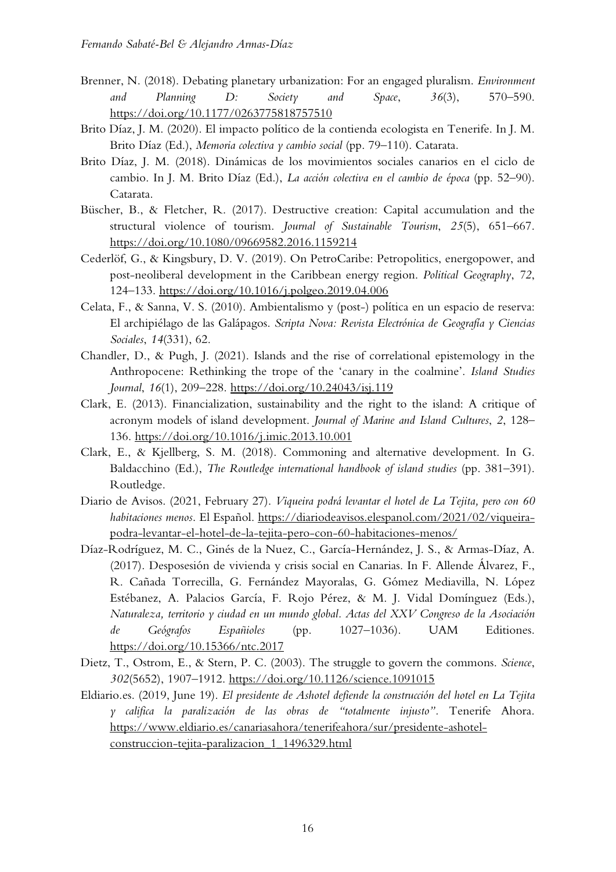- Brenner, N. (2018). Debating planetary urbanization: For an engaged pluralism. *Environment and Planning D: Society and Space*, *36*(3), 570–590. <https://doi.org/10.1177/0263775818757510>
- Brito Díaz, J. M. (2020). El impacto político de la contienda ecologista en Tenerife. In J. M. Brito Díaz (Ed.), *Memoria colectiva y cambio social* (pp. 79–110). Catarata.
- Brito Díaz, J. M. (2018). Dinámicas de los movimientos sociales canarios en el ciclo de cambio. In J. M. Brito Díaz (Ed.), *La acción colectiva en el cambio de época* (pp. 52–90). Catarata.
- Büscher, B., & Fletcher, R. (2017). Destructive creation: Capital accumulation and the structural violence of tourism. *Journal of Sustainable Tourism*, *25*(5), 651–667. <https://doi.org/10.1080/09669582.2016.1159214>
- Cederlöf, G., & Kingsbury, D. V. (2019). On PetroCaribe: Petropolitics, energopower, and post-neoliberal development in the Caribbean energy region. *Political Geography*, *72*, 124–133.<https://doi.org/10.1016/j.polgeo.2019.04.006>
- Celata, F., & Sanna, V. S. (2010). Ambientalismo y (post-) política en un espacio de reserva: El archipiélago de las Galápagos. *Scripta Nova: Revista Electrónica de Geografía y Ciencias Sociales*, *14*(331), 62.
- Chandler, D., & Pugh, J. (2021). Islands and the rise of correlational epistemology in the Anthropocene: Rethinking the trope of the 'canary in the coalmine'. *Island Studies Journal*, *16*(1), 209–228.<https://doi.org/10.24043/isj.119>
- Clark, E. (2013). Financialization, sustainability and the right to the island: A critique of acronym models of island development. *Journal of Marine and Island Cultures*, *2*, 128– 136.<https://doi.org/10.1016/j.imic.2013.10.001>
- Clark, E., & Kjellberg, S. M. (2018). Commoning and alternative development. In G. Baldacchino (Ed.), *The Routledge international handbook of island studies* (pp. 381–391). Routledge.
- Diario de Avisos. (2021, February 27). *Viqueira podrá levantar el hotel de La Tejita, pero con 60 habitaciones menos*. El Español. https://diariodeavisos.elespanol.com/2021/02/viqueirapodra-levantar-el-hotel-de-la-tejita-pero-con-60-habitaciones-menos/
- Díaz-Rodríguez, M. C., Ginés de la Nuez, C., García-Hernández, J. S., & Armas-Díaz, A. (2017). Desposesión de vivienda y crisis social en Canarias. In F. Allende Álvarez, F., R. Cañada Torrecilla, G. Fernández Mayoralas, G. Gómez Mediavilla, N. López Estébanez, A. Palacios García, F. Rojo Pérez, & M. J. Vidal Domínguez (Eds.), *Naturaleza, territorio y ciudad en un mundo global. Actas del XXV Congreso de la Asociación de Geógrafos Españioles* (pp. 1027–1036). UAM Editiones. <https://doi.org/10.15366/ntc.2017>
- Dietz, T., Ostrom, E., & Stern, P. C. (2003). The struggle to govern the commons. *Science*, *302*(5652), 1907–1912. https://doi.org/10.1126/science.1091015
- Eldiario.es. (2019, June 19). *El presidente de Ashotel defiende la construcción del hotel en La Tejita y califica la paralización de las obras de "totalmente injusto".* Tenerife Ahora. [https://www.eldiario.es/canariasahora/tenerifeahora/sur/presidente-ashotel](https://www.eldiario.es/canariasahora/tenerifeahora/sur/presidente-ashotel-construccion-tejita-paralizacion_1_1496329.html)[construccion-tejita-paralizacion\\_1\\_1496329.html](https://www.eldiario.es/canariasahora/tenerifeahora/sur/presidente-ashotel-construccion-tejita-paralizacion_1_1496329.html)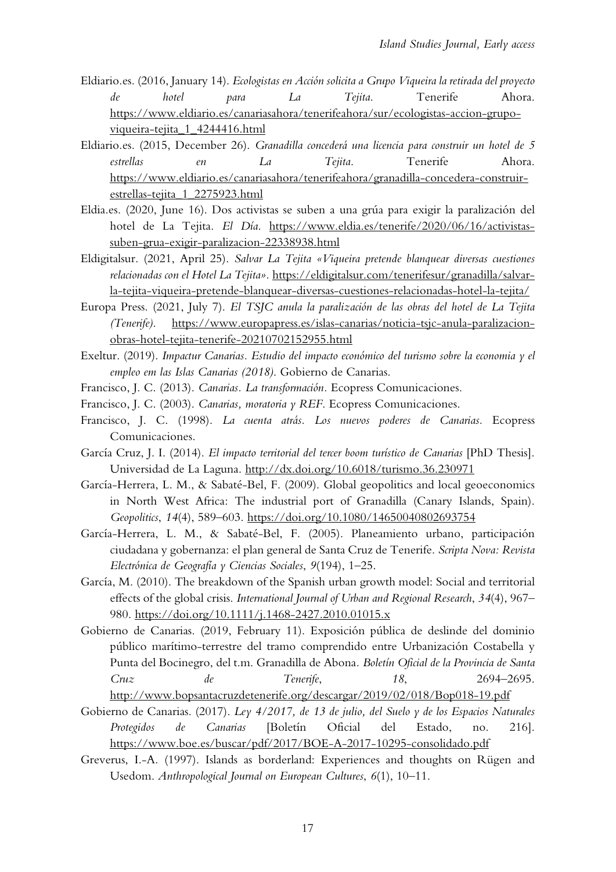- Eldiario.es. (2016, January 14). *Ecologistas en Acción solicita a Grupo Viqueira la retirada del proyecto de hotel para La Tejita*. Tenerife Ahora. [https://www.eldiario.es/canariasahora/tenerifeahora/sur/ecologistas-accion-grupo](https://www.eldiario.es/canariasahora/tenerifeahora/sur/ecologistas-accion-grupo-viqueira-tejita_1_4244416.html)[viqueira-tejita\\_1\\_4244416.html](https://www.eldiario.es/canariasahora/tenerifeahora/sur/ecologistas-accion-grupo-viqueira-tejita_1_4244416.html)
- Eldiario.es. (2015, December 26). *Granadilla concederá una licencia para construir un hotel de 5 estrellas en La Tejita*. Tenerife Ahora. [https://www.eldiario.es/canariasahora/tenerifeahora/granadilla-concedera-construir](https://www.eldiario.es/canariasahora/tenerifeahora/granadilla-concedera-construir-estrellas-tejita_1_2275923.html)[estrellas-tejita\\_1\\_2275923.html](https://www.eldiario.es/canariasahora/tenerifeahora/granadilla-concedera-construir-estrellas-tejita_1_2275923.html)
- Eldia.es. (2020, June 16). Dos activistas se suben a una grúa para exigir la paralización del hotel de La Tejita. *El Día*. [https://www.eldia.es/tenerife/2020/06/16/activistas](https://www.eldia.es/tenerife/2020/06/16/activistas-suben-grua-exigir-paralizacion-22338938.html)[suben-grua-exigir-paralizacion-22338938.html](https://www.eldia.es/tenerife/2020/06/16/activistas-suben-grua-exigir-paralizacion-22338938.html)
- Eldigitalsur. (2021, April 25). *Salvar La Tejita «Viqueira pretende blanquear diversas cuestiones relacionadas con el Hotel La Tejita».* [https://eldigitalsur.com/tenerifesur/granadilla/salvar](https://eldigitalsur.com/tenerifesur/granadilla/salvar-la-tejita-viqueira-pretende-blanquear-diversas-cuestiones-relacionadas-hotel-la-tejita/)[la-tejita-viqueira-pretende-blanquear-diversas-cuestiones-relacionadas-hotel-la-tejita/](https://eldigitalsur.com/tenerifesur/granadilla/salvar-la-tejita-viqueira-pretende-blanquear-diversas-cuestiones-relacionadas-hotel-la-tejita/)
- Europa Press. (2021, July 7). *El TSJC anula la paralización de las obras del hotel de La Tejita (Tenerife)*. [https://www.europapress.es/islas-canarias/noticia-tsjc-anula-paralizacion](https://www.europapress.es/islas-canarias/noticia-tsjc-anula-paralizacion-obras-hotel-tejita-tenerife-20210702152955.html)[obras-hotel-tejita-tenerife-20210702152955.html](https://www.europapress.es/islas-canarias/noticia-tsjc-anula-paralizacion-obras-hotel-tejita-tenerife-20210702152955.html)
- Exeltur. (2019). *Impactur Canarias. Estudio del impacto económico del turismo sobre la economia y el empleo em las Islas Canarias (2018)*. Gobierno de Canarias.
- Francisco, J. C. (2013). *Canarias. La transformación.* Ecopress Comunicaciones.
- Francisco, J. C. (2003). *Canarias, moratoria y REF*. Ecopress Comunicaciones.
- Francisco, J. C. (1998). *La cuenta atrás. Los nuevos poderes de Canarias.* Ecopress Comunicaciones.
- García Cruz, J. I. (2014). *El impacto territorial del tercer boom turístico de Canarias* [PhD Thesis]. Universidad de La Laguna. <http://dx.doi.org/10.6018/turismo.36.230971>
- García-Herrera, L. M., & Sabaté-Bel, F. (2009). Global geopolitics and local geoeconomics in North West Africa: The industrial port of Granadilla (Canary Islands, Spain). *Geopolitics*, *14*(4), 589–603.<https://doi.org/10.1080/14650040802693754>
- García-Herrera, L. M., & Sabaté-Bel, F. (2005). Planeamiento urbano, participación ciudadana y gobernanza: el plan general de Santa Cruz de Tenerife. *Scripta Nova: Revista Electrónica de Geografía y Ciencias Sociales*, *9*(194), 1–25.
- García, M. (2010). The breakdown of the Spanish urban growth model: Social and territorial effects of the global crisis. *International Journal of Urban and Regional Research*, *34*(4), 967– 980.<https://doi.org/10.1111/j.1468-2427.2010.01015.x>
- Gobierno de Canarias. (2019, February 11). Exposición pública de deslinde del dominio público marítimo-terrestre del tramo comprendido entre Urbanización Costabella y Punta del Bocinegro, del t.m. Granadilla de Abona*. Boletín Oficial de la Provincia de Santa Cruz de Tenerife*, *18*, 2694–2695. <http://www.bopsantacruzdetenerife.org/descargar/2019/02/018/Bop018-19.pdf>
- Gobierno de Canarias. (2017). *Ley 4/2017, de 13 de julio, del Suelo y de los Espacios Naturales Protegidos de Canarias* [Boletín Oficial del Estado, no. 216]. <https://www.boe.es/buscar/pdf/2017/BOE-A-2017-10295-consolidado.pdf>
- Greverus, I.-A. (1997). Islands as borderland: Experiences and thoughts on Rügen and Usedom. *Anthropological Journal on European Cultures*, *6*(1), 10–11.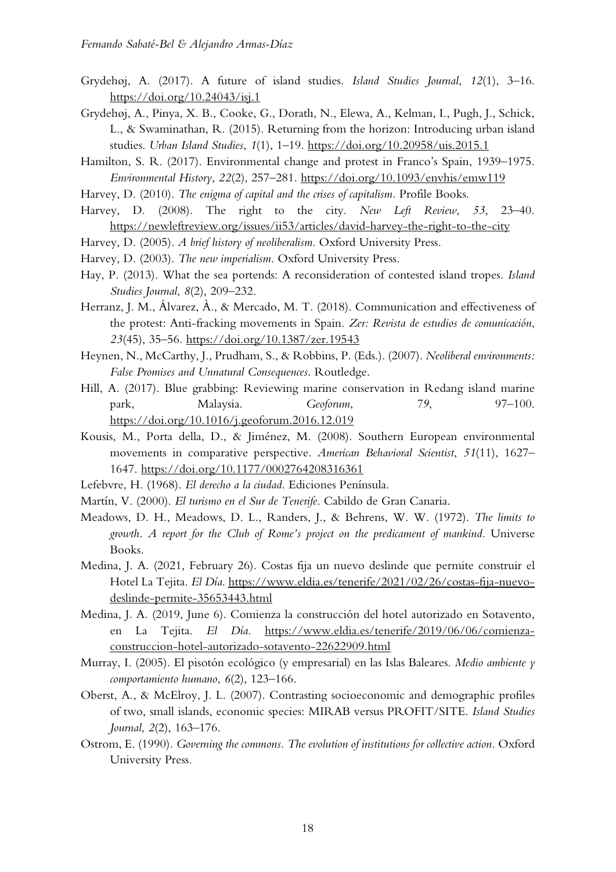- Grydehøj, A. (2017). A future of island studies. *Island Studies Journal*, *12*(1), 3–16. <https://doi.org/10.24043/isj.1>
- Grydehøj, A., Pinya, X. B., Cooke, G., Doratlı, N., Elewa, A., Kelman, I., Pugh, J., Schick, L., & Swaminathan, R. (2015). Returning from the horizon: Introducing urban island studies. *Urban Island Studies*, *1*(1), 1–19.<https://doi.org/10.20958/uis.2015.1>
- Hamilton, S. R. (2017). Environmental change and protest in Franco's Spain, 1939–1975. *Environmental History*, *22*(2), 257–281.<https://doi.org/10.1093/envhis/emw119>
- Harvey, D. (2010). *The enigma of capital and the crises of capitalism.* Profile Books.
- Harvey, D. (2008). The right to the city. *New Left Review*, *53*, 23–40. <https://newleftreview.org/issues/ii53/articles/david-harvey-the-right-to-the-city>
- Harvey, D. (2005). *A brief history of neoliberalism*. Oxford University Press.
- Harvey, D. (2003). *The new imperialism*. Oxford University Press.
- Hay, P. (2013). What the sea portends: A reconsideration of contested island tropes. *Island Studies Journal*, *8*(2), 209–232.
- Herranz, J. M., Álvarez, À., & Mercado, M. T. (2018). Communication and effectiveness of the protest: Anti-fracking movements in Spain. *Zer: Revista de estudios de comunicación*, *23*(45), 35–56.<https://doi.org/10.1387/zer.19543>
- Heynen, N., McCarthy, J., Prudham, S., & Robbins, P. (Eds.). (2007). *Neoliberal environments: False Promises and Unnatural Consequences*. Routledge.
- Hill, A. (2017). Blue grabbing: Reviewing marine conservation in Redang island marine park, Malaysia. *Geoforum*, *79*, 97–100. <https://doi.org/10.1016/j.geoforum.2016.12.019>
- Kousis, M., Porta della, D., & Jiménez, M. (2008). Southern European environmental movements in comparative perspective. *American Behavioral Scientist*, *51*(11), 1627– 1647.<https://doi.org/10.1177/0002764208316361>
- Lefebvre, H. (1968). *El derecho a la ciudad*. Ediciones Península.
- Martín, V. (2000). *El turismo en el Sur de Tenerife*. Cabildo de Gran Canaria.
- Meadows, D. H., Meadows, D. L., Randers, J., & Behrens, W. W. (1972). *The limits to growth. A report for the Club of Rome's project on the predicament of mankind*. Universe Books.
- Medina, J. A. (2021, February 26). Costas fija un nuevo deslinde que permite construir el Hotel La Tejita. *El Día*. [https://www.eldia.es/tenerife/2021/02/26/costas-fija-nuevo](https://www.eldia.es/tenerife/2021/02/26/costas-fija-nuevo-deslinde-permite-35653443.html)[deslinde-permite-35653443.html](https://www.eldia.es/tenerife/2021/02/26/costas-fija-nuevo-deslinde-permite-35653443.html)
- Medina, J. A. (2019, June 6). Comienza la construcción del hotel autorizado en Sotavento, en La Tejita. *El Día*. [https://www.eldia.es/tenerife/2019/06/06/comienza](https://www.eldia.es/tenerife/2019/06/06/comienza-construccion-hotel-autorizado-sotavento-22622909.html)[construccion-hotel-autorizado-sotavento-22622909.html](https://www.eldia.es/tenerife/2019/06/06/comienza-construccion-hotel-autorizado-sotavento-22622909.html)
- Murray, I. (2005). El pisotón ecológico (y empresarial) en las Islas Baleares. *Medio ambiente y comportamiento humano*, *6*(2), 123–166.
- Oberst, A., & McElroy, J. L. (2007). Contrasting socioeconomic and demographic profiles of two, small islands, economic species: MIRAB versus PROFIT/SITE. *Island Studies Journal*, *2*(2), 163–176.
- Ostrom, E. (1990). *Governing the commons. The evolution of institutions for collective action.* Oxford University Press.